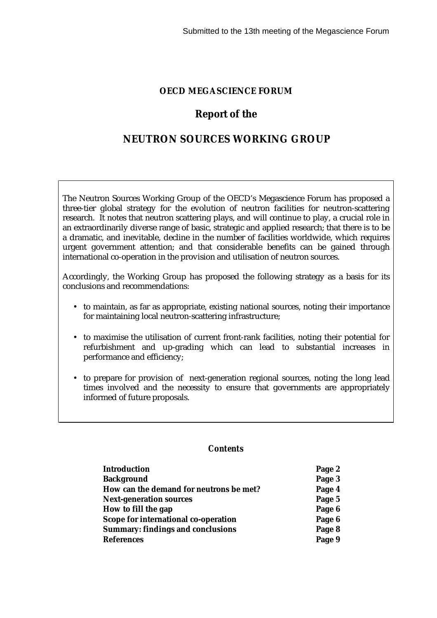### **OECD MEGASCIENCE FORUM**

# **Report of the**

# **NEUTRON SOURCES WORKING GROUP**

The Neutron Sources Working Group of the OECD's Megascience Forum has proposed a three-tier global strategy for the evolution of neutron facilities for neutron-scattering research. It notes that neutron scattering plays, and will continue to play, a crucial role in an extraordinarily diverse range of basic, strategic and applied research; that there is to be a dramatic, and inevitable, decline in the number of facilities worldwide, which requires urgent government attention; and that considerable benefits can be gained through international co-operation in the provision and utilisation of neutron sources.

Accordingly, the Working Group has proposed the following strategy as a basis for its conclusions and recommendations:

- to maintain, as far as appropriate, existing national sources, noting their importance for maintaining local neutron-scattering infrastructure;
- to maximise the utilisation of current front-rank facilities, noting their potential for refurbishment and up-grading which can lead to substantial increases in performance and efficiency;
- to prepare for provision of next-generation regional sources, noting the long lead times involved and the necessity to ensure that governments are appropriately informed of future proposals.

### *Contents*

| Page 2 |
|--------|
| Page 3 |
| Page 4 |
| Page 5 |
| Page 6 |
| Page 6 |
| Page 8 |
| Page 9 |
|        |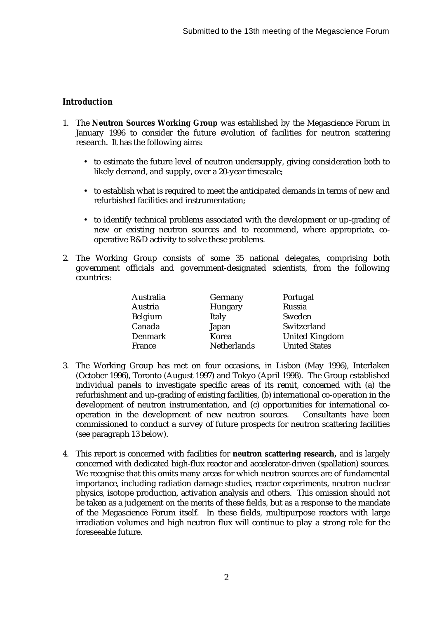## *Introduction*

- 1. The **Neutron Sources Working Group** was established by the Megascience Forum in January 1996 to consider the future evolution of facilities for neutron scattering research. It has the following aims:
	- to estimate the future level of neutron undersupply, giving consideration both to likely demand, and supply, over a 20-year timescale;
	- to establish what is required to meet the anticipated demands in terms of new and refurbished facilities and instrumentation;
	- to identify technical problems associated with the development or up-grading of new or existing neutron sources and to recommend, where appropriate, cooperative R&D activity to solve these problems.
- 2. The Working Group consists of some 35 national delegates, comprising both government officials and government-designated scientists, from the following countries:

| Australia | Germany            | Portugal              |
|-----------|--------------------|-----------------------|
| Austria   | Hungary            | Russia                |
| Belgium   | Italy              | Sweden                |
| Canada    | Japan              | Switzerland           |
| Denmark   | Korea              | <b>United Kingdom</b> |
| France    | <b>Netherlands</b> | <b>United States</b>  |
|           |                    |                       |

- 3. The Working Group has met on four occasions, in Lisbon (May 1996), Interlaken (October 1996), Toronto (August 1997) and Tokyo (April 1998). The Group established individual panels to investigate specific areas of its remit, concerned with (a) the refurbishment and up-grading of existing facilities, (b) international co-operation in the development of neutron instrumentation, and (c) opportunities for international cooperation in the development of new neutron sources. Consultants have been commissioned to conduct a survey of future prospects for neutron scattering facilities (see paragraph 13 below).
- 4. This report is concerned with facilities for **neutron scattering research,** and is largely concerned with dedicated high-flux reactor and accelerator-driven (spallation) sources. We recognise that this omits many areas for which neutron sources are of fundamental importance, including radiation damage studies, reactor experiments, neutron nuclear physics, isotope production, activation analysis and others. This omission should not be taken as a judgement on the merits of these fields, but as a response to the mandate of the Megascience Forum itself. In these fields, multipurpose reactors with large irradiation volumes and high neutron flux will continue to play a strong role for the foreseeable future.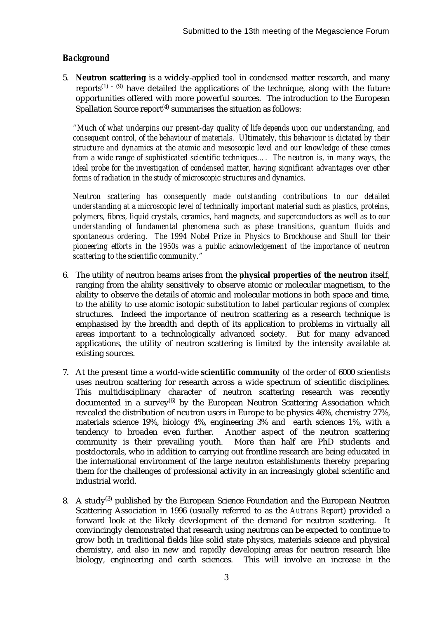# *Background*

5. **Neutron scattering** is a widely-applied tool in condensed matter research, and many reports<sup>(1) - (9)</sup> have detailed the applications of the technique, along with the future opportunities offered with more powerful sources. The introduction to the European Spallation Source report $(4)$  summarises the situation as follows:

*"Much of what underpins our present-day quality of life depends upon our understanding, and consequent control, of the behaviour of materials. Ultimately, this behaviour is dictated by their structure and dynamics at the atomic and mesoscopic level and our knowledge of these comes from a wide range of sophisticated scientific techniques…. The neutron is, in many ways, the ideal probe for the investigation of condensed matter, having significant advantages over other forms of radiation in the study of microscopic structures and dynamics.*

*Neutron scattering has consequently made outstanding contributions to our detailed understanding at a microscopic level of technically important material such as plastics, proteins, polymers, fibres, liquid crystals, ceramics, hard magnets, and superconductors as well as to our understanding of fundamental phenomena such as phase transitions, quantum fluids and spontaneous ordering. The 1994 Nobel Prize in Physics to Brockhouse and Shull for their pioneering efforts in the 1950s was a public acknowledgement of the importance of neutron scattering to the scientific community."*

- 6. The utility of neutron beams arises from the **physical properties of the neutron** itself, ranging from the ability sensitively to observe atomic or molecular magnetism, to the ability to observe the details of atomic and molecular motions in both space and time, to the ability to use atomic isotopic substitution to label particular regions of complex structures. Indeed the importance of neutron scattering as a research technique is emphasised by the breadth and depth of its application to problems in virtually all areas important to a technologically advanced society. But for many advanced applications, the utility of neutron scattering is limited by the intensity available at existing sources.
- 7. At the present time a world-wide **scientific community** of the order of 6000 scientists uses neutron scattering for research across a wide spectrum of scientific disciplines. This multidisciplinary character of neutron scattering research was recently documented in a survey<sup> $(6)$ </sup> by the European Neutron Scattering Association which revealed the distribution of neutron users in Europe to be physics 46%, chemistry 27%, materials science 19%, biology 4%, engineering 3% and earth sciences 1%, with a tendency to broaden even further. Another aspect of the neutron scattering community is their prevailing youth. More than half are PhD students and community is their prevailing youth. postdoctorals, who in addition to carrying out frontline research are being educated in the international environment of the large neutron establishments thereby preparing them for the challenges of professional activity in an increasingly global scientific and industrial world.
- 8. A study<sup>(3)</sup> published by the European Science Foundation and the European Neutron Scattering Association in 1996 (usually referred to as the *Autrans Report*) provided a forward look at the likely development of the demand for neutron scattering. It convincingly demonstrated that research using neutrons can be expected to continue to grow both in traditional fields like solid state physics, materials science and physical chemistry, and also in new and rapidly developing areas for neutron research like biology, engineering and earth sciences. This will involve an increase in the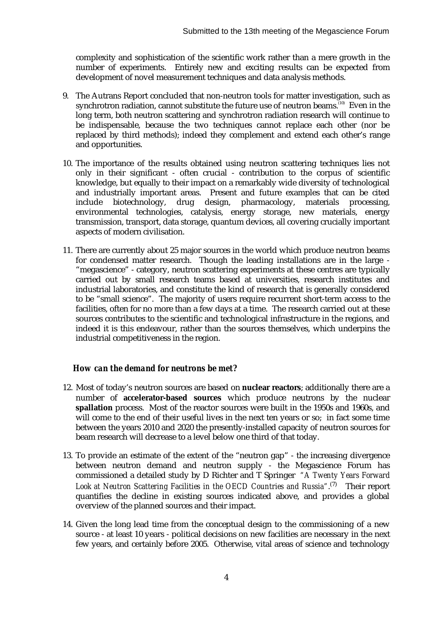complexity and sophistication of the scientific work rather than a mere growth in the number of experiments. Entirely new and exciting results can be expected from development of novel measurement techniques and data analysis methods.

- 9. The Autrans Report concluded that non-neutron tools for matter investigation, such as synchrotron radiation, cannot substitute the future use of neutron beams.<sup>(10)</sup> Even in the long term, both neutron scattering and synchrotron radiation research will continue to be indispensable, because the two techniques cannot replace each other (nor be replaced by third methods); indeed they complement and extend each other's range and opportunities.
- 10. The importance of the results obtained using neutron scattering techniques lies not only in their significant - often crucial - contribution to the corpus of scientific knowledge, but equally to their impact on a remarkably wide diversity of technological and industrially important areas. Present and future examples that can be cited include biotechnology, drug design, pharmacology, materials processing, environmental technologies, catalysis, energy storage, new materials, energy transmission, transport, data storage, quantum devices, all covering crucially important aspects of modern civilisation.
- 11. There are currently about 25 major sources in the world which produce neutron beams for condensed matter research. Though the leading installations are in the large - "megascience" - category, neutron scattering experiments at these centres are typically carried out by small research teams based at universities, research institutes and industrial laboratories, and constitute the kind of research that is generally considered to be "small science". The majority of users require recurrent short-term access to the facilities, often for no more than a few days at a time. The research carried out at these sources contributes to the scientific and technological infrastructure in the regions, and indeed it is this endeavour, rather than the sources themselves, which underpins the industrial competitiveness in the region.

## *How can the demand for neutrons be met?*

- 12. Most of today's neutron sources are based on **nuclear reactors**; additionally there are a number of **accelerator-based sources** which produce neutrons by the nuclear **spallation** process. Most of the reactor sources were built in the 1950s and 1960s, and will come to the end of their useful lives in the next ten years or so; in fact some time between the years 2010 and 2020 the presently-installed capacity of neutron sources for beam research will decrease to a level below one third of that today.
- 13. To provide an estimate of the extent of the "neutron gap" the increasing divergence between neutron demand and neutron supply - the Megascience Forum has commissioned a detailed study by D Richter and T Springer *"A Twenty Years Forward* Look at Neutron Scattering Facilities in the OECD Countries and Russia".<sup>(7)</sup> Their report quantifies the decline in existing sources indicated above, and provides a global overview of the planned sources and their impact.
- 14. Given the long lead time from the conceptual design to the commissioning of a new source - at least 10 years - political decisions on new facilities are necessary in the next few years, and certainly before 2005. Otherwise, vital areas of science and technology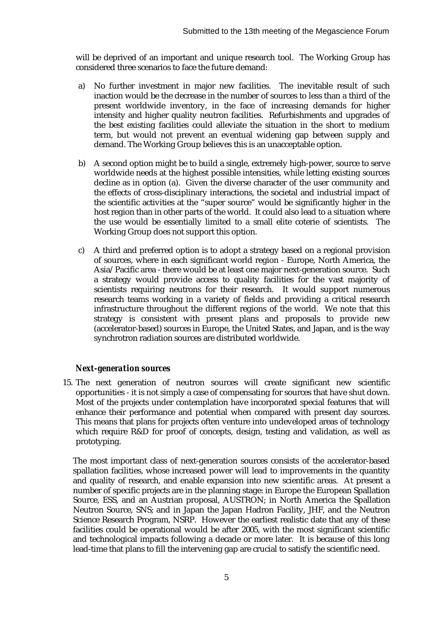will be deprived of an important and unique research tool. The Working Group has considered three scenarios to face the future demand:

- a) No further investment in major new facilities. The inevitable result of such inaction would be the decrease in the number of sources to less than a third of the present worldwide inventory, in the face of increasing demands for higher intensity and higher quality neutron facilities. Refurbishments and upgrades of the best existing facilities could alleviate the situation in the short to medium term, but would not prevent an eventual widening gap between supply and demand. The Working Group believes this is an unacceptable option.
- b) A second option might be to build a single, extremely high-power, source to serve worldwide needs at the highest possible intensities, while letting existing sources decline as in option (a). Given the diverse character of the user community and the effects of cross-disciplinary interactions, the societal and industrial impact of the scientific activities at the "super source" would be significantly higher in the host region than in other parts of the world. It could also lead to a situation where the use would be essentially limited to a small elite coterie of scientists. The Working Group does not support this option.
- c) A third and preferred option is to adopt a strategy based on a regional provision of sources, where in each significant world region - Europe, North America, the Asia/Pacific area - there would be at least one major next-generation source. Such a strategy would provide access to quality facilities for the vast majority of scientists requiring neutrons for their research. It would support numerous research teams working in a variety of fields and providing a critical research infrastructure throughout the different regions of the world. We note that this strategy is consistent with present plans and proposals to provide new (accelerator-based) sources in Europe, the United States, and Japan, and is the way synchrotron radiation sources are distributed worldwide.

### *Next-generation sources*

15. The next generation of neutron sources will create significant new scientific opportunities - it is not simply a case of compensating for sources that have shut down. Most of the projects under contemplation have incorporated special features that will enhance their performance and potential when compared with present day sources. This means that plans for projects often venture into undeveloped areas of technology which require R&D for proof of concepts, design, testing and validation, as well as prototyping.

 The most important class of next-generation sources consists of the accelerator-based spallation facilities, whose increased power will lead to improvements in the quantity and quality of research, and enable expansion into new scientific areas. At present a number of specific projects are in the planning stage: in Europe the European Spallation Source, ESS, and an Austrian proposal, AUSTRON; in North America the Spallation Neutron Source, SNS; and in Japan the Japan Hadron Facility, JHF, and the Neutron Science Research Program, NSRP. However the earliest realistic date that any of these facilities could be operational would be after 2005, with the most significant scientific and technological impacts following a decade or more later. It is because of this long lead-time that plans to fill the intervening gap are crucial to satisfy the scientific need.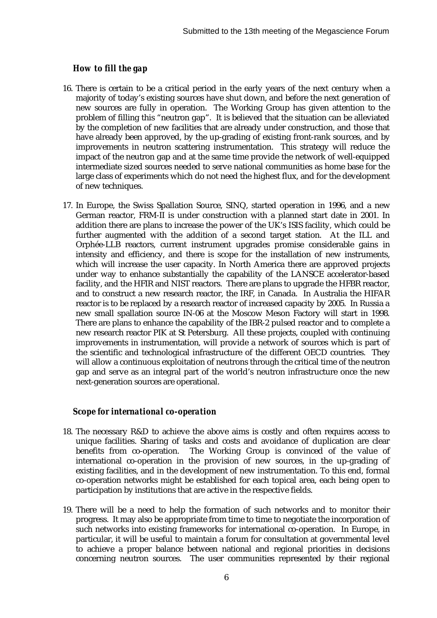### *How to fill the gap*

- 16. There is certain to be a critical period in the early years of the next century when a majority of today's existing sources have shut down, and before the next generation of new sources are fully in operation. The Working Group has given attention to the problem of filling this "neutron gap". It is believed that the situation can be alleviated by the completion of new facilities that are already under construction, and those that have already been approved, by the up-grading of existing front-rank sources, and by improvements in neutron scattering instrumentation. This strategy will reduce the impact of the neutron gap and at the same time provide the network of well-equipped intermediate sized sources needed to serve national communities as home base for the large class of experiments which do not need the highest flux, and for the development of new techniques.
- 17. In Europe, the Swiss Spallation Source, SINQ, started operation in 1996, and a new German reactor, FRM-II is under construction with a planned start date in 2001. In addition there are plans to increase the power of the UK's ISIS facility, which could be further augmented with the addition of a second target station. At the ILL and Orphée-LLB reactors, current instrument upgrades promise considerable gains in intensity and efficiency, and there is scope for the installation of new instruments, which will increase the user capacity. In North America there are approved projects under way to enhance substantially the capability of the LANSCE accelerator-based facility, and the HFIR and NIST reactors. There are plans to upgrade the HFBR reactor, and to construct a new research reactor, the IRF, in Canada. In Australia the HIFAR reactor is to be replaced by a research reactor of increased capacity by 2005. In Russia a new small spallation source IN-06 at the Moscow Meson Factory will start in 1998. There are plans to enhance the capability of the IBR-2 pulsed reactor and to complete a new research reactor PIK at St Petersburg. All these projects, coupled with continuing improvements in instrumentation, will provide a network of sources which is part of the scientific and technological infrastructure of the different OECD countries. They will allow a continuous exploitation of neutrons through the critical time of the neutron gap and serve as an integral part of the world's neutron infrastructure once the new next-generation sources are operational.

### *Scope for international co-operation*

- 18. The necessary R&D to achieve the above aims is costly and often requires access to unique facilities. Sharing of tasks and costs and avoidance of duplication are clear benefits from co-operation. The Working Group is convinced of the value of international co-operation in the provision of new sources, in the up-grading of existing facilities, and in the development of new instrumentation. To this end, formal co-operation networks might be established for each topical area, each being open to participation by institutions that are active in the respective fields.
- 19. There will be a need to help the formation of such networks and to monitor their progress. It may also be appropriate from time to time to negotiate the incorporation of such networks into existing frameworks for international co-operation. In Europe, in particular, it will be useful to maintain a forum for consultation at governmental level to achieve a proper balance between national and regional priorities in decisions concerning neutron sources. The user communities represented by their regional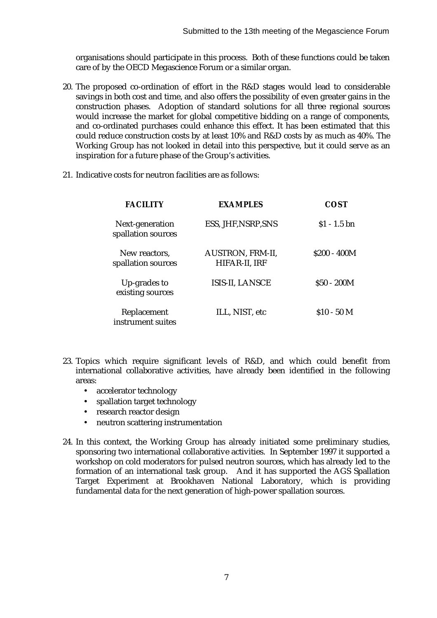organisations should participate in this process. Both of these functions could be taken care of by the OECD Megascience Forum or a similar organ.

- 20. The proposed co-ordination of effort in the R&D stages would lead to considerable savings in both cost and time, and also offers the possibility of even greater gains in the construction phases. Adoption of standard solutions for all three regional sources would increase the market for global competitive bidding on a range of components, and co-ordinated purchases could enhance this effect. It has been estimated that this could reduce construction costs by at least 10% and R&D costs by as much as 40%. The Working Group has not looked in detail into this perspective, but it could serve as an inspiration for a future phase of the Group's activities.
- 21. Indicative costs for neutron facilities are as follows:

| <b>FACILITY</b>                       | <b>EXAMPLES</b>                          | COST                   |
|---------------------------------------|------------------------------------------|------------------------|
| Next-generation<br>spallation sources | ESS, JHF, NSRP, SNS                      | $$1 - 1.5 \text{ bn}$$ |
| New reactors.<br>spallation sources   | <b>AUSTRON, FRM-II,</b><br>HIFAR-II, IRF | $$200 - 400M$          |
| Up-grades to<br>existing sources      | ISIS-II, LANSCE                          | $$50 - 200M$$          |
| Replacement<br>instrument suites      | ILL, NIST, etc                           | $$10 - 50$ M           |

- 23. Topics which require significant levels of R&D, and which could benefit from international collaborative activities, have already been identified in the following areas:
	- accelerator technology
	- spallation target technology
	- research reactor design
	- neutron scattering instrumentation
- 24. In this context, the Working Group has already initiated some preliminary studies, sponsoring two international collaborative activities. In September 1997 it supported a workshop on cold moderators for pulsed neutron sources, which has already led to the formation of an international task group. And it has supported the AGS Spallation Target Experiment at Brookhaven National Laboratory, which is providing fundamental data for the next generation of high-power spallation sources.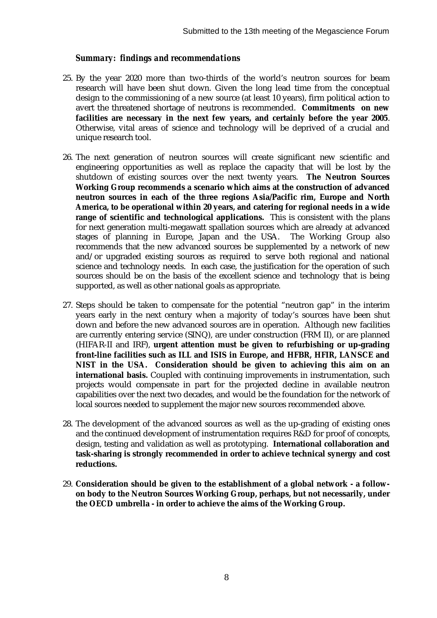### *Summary: findings and recommendations*

- 25. By the year 2020 more than two-thirds of the world's neutron sources for beam research will have been shut down. Given the long lead time from the conceptual design to the commissioning of a new source (at least 10 years), firm political action to avert the threatened shortage of neutrons is recommended. **Commitments on new facilities are necessary in the next few years, and certainly before the year 2005**. Otherwise, vital areas of science and technology will be deprived of a crucial and unique research tool.
- 26. The next generation of neutron sources will create significant new scientific and engineering opportunities as well as replace the capacity that will be lost by the shutdown of existing sources over the next twenty years. **The Neutron Sources Working Group recommends a scenario which aims at the construction of advanced neutron sources in each of the three regions Asia/Pacific rim, Europe and North America, to be operational within 20 years, and catering for regional needs in a wide range of scientific and technological applications.** This is consistent with the plans for next generation multi-megawatt spallation sources which are already at advanced stages of planning in Europe, Japan and the USA. The Working Group also recommends that the new advanced sources be supplemented by a network of new and/or upgraded existing sources as required to serve both regional and national science and technology needs. In each case, the justification for the operation of such sources should be on the basis of the excellent science and technology that is being supported, as well as other national goals as appropriate.
- 27. Steps should be taken to compensate for the potential "neutron gap" in the interim years early in the next century when a majority of today's sources have been shut down and before the new advanced sources are in operation. Although new facilities are currently entering service (SINQ), are under construction (FRM II), or are planned (HIFAR-II and IRF), **urgent attention must be given to refurbishing or up-grading front-line facilities such as ILL and ISIS in Europe, and HFBR, HFIR, LANSCE and NIST in the USA. Consideration should be given to achieving this aim on an international basis.** Coupled with continuing improvements in instrumentation, such projects would compensate in part for the projected decline in available neutron capabilities over the next two decades, and would be the foundation for the network of local sources needed to supplement the major new sources recommended above.
- 28. The development of the advanced sources as well as the up-grading of existing ones and the continued development of instrumentation requires R&D for proof of concepts, design, testing and validation as well as prototyping. **International collaboration and task-sharing is strongly recommended in order to achieve technical synergy and cost reductions.**
- 29. **Consideration should be given to the establishment of a global network a followon body to the Neutron Sources Working Group, perhaps, but not necessarily, under the OECD umbrella - in order to achieve the aims of the Working Group.**